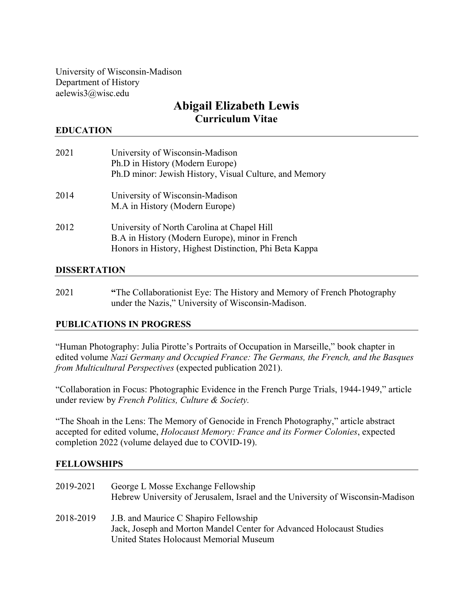University of Wisconsin-Madison Department of History aelewis3@wisc.edu

# **Abigail Elizabeth Lewis Curriculum Vitae**

## **EDUCATION**

| 2021 | University of Wisconsin-Madison<br>Ph.D in History (Modern Europe)<br>Ph.D minor: Jewish History, Visual Culture, and Memory                             |
|------|----------------------------------------------------------------------------------------------------------------------------------------------------------|
| 2014 | University of Wisconsin-Madison<br>M.A in History (Modern Europe)                                                                                        |
| 2012 | University of North Carolina at Chapel Hill<br>B.A in History (Modern Europe), minor in French<br>Honors in History, Highest Distinction, Phi Beta Kappa |

#### **DISSERTATION**

2021 **"**The Collaborationist Eye: The History and Memory of French Photography under the Nazis," University of Wisconsin-Madison.

## **PUBLICATIONS IN PROGRESS**

"Human Photography: Julia Pirotte's Portraits of Occupation in Marseille," book chapter in edited volume *Nazi Germany and Occupied France: The Germans, the French, and the Basques from Multicultural Perspectives* (expected publication 2021).

"Collaboration in Focus: Photographic Evidence in the French Purge Trials, 1944-1949," article under review by *French Politics, Culture & Society.* 

"The Shoah in the Lens: The Memory of Genocide in French Photography," article abstract accepted for edited volume, *Holocaust Memory: France and its Former Colonies*, expected completion 2022 (volume delayed due to COVID-19).

#### **FELLOWSHIPS**

| 2019-2021 | George L Mosse Exchange Fellowship<br>Hebrew University of Jerusalem, Israel and the University of Wisconsin-Madison |
|-----------|----------------------------------------------------------------------------------------------------------------------|
| 2018-2019 | J.B. and Maurice C Shapiro Fellowship                                                                                |
|           | Jack, Joseph and Morton Mandel Center for Advanced Holocaust Studies                                                 |
|           | United States Holocaust Memorial Museum                                                                              |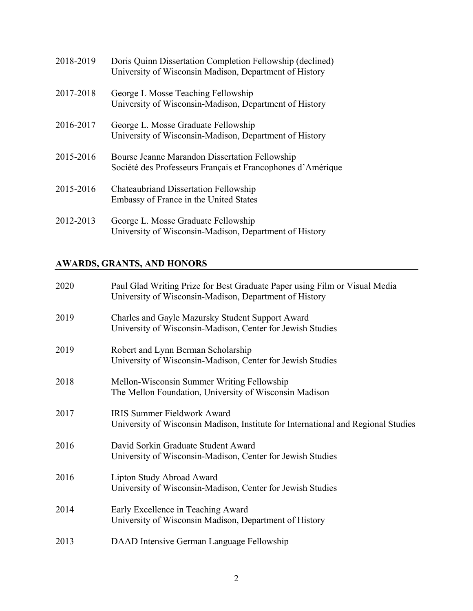| 2018-2019 | Doris Quinn Dissertation Completion Fellowship (declined)<br>University of Wisconsin Madison, Department of History |
|-----------|---------------------------------------------------------------------------------------------------------------------|
| 2017-2018 | George L Mosse Teaching Fellowship<br>University of Wisconsin-Madison, Department of History                        |
| 2016-2017 | George L. Mosse Graduate Fellowship<br>University of Wisconsin-Madison, Department of History                       |
| 2015-2016 | Bourse Jeanne Marandon Dissertation Fellowship<br>Société des Professeurs Français et Francophones d'Amérique       |
| 2015-2016 | <b>Chateaubriand Dissertation Fellowship</b><br>Embassy of France in the United States                              |
| 2012-2013 | George L. Mosse Graduate Fellowship<br>University of Wisconsin-Madison, Department of History                       |

## **AWARDS, GRANTS, AND HONORS**

| 2020 | Paul Glad Writing Prize for Best Graduate Paper using Film or Visual Media<br>University of Wisconsin-Madison, Department of History |
|------|--------------------------------------------------------------------------------------------------------------------------------------|
| 2019 | Charles and Gayle Mazursky Student Support Award<br>University of Wisconsin-Madison, Center for Jewish Studies                       |
| 2019 | Robert and Lynn Berman Scholarship<br>University of Wisconsin-Madison, Center for Jewish Studies                                     |
| 2018 | Mellon-Wisconsin Summer Writing Fellowship<br>The Mellon Foundation, University of Wisconsin Madison                                 |
| 2017 | <b>IRIS Summer Fieldwork Award</b><br>University of Wisconsin Madison, Institute for International and Regional Studies              |
| 2016 | David Sorkin Graduate Student Award<br>University of Wisconsin-Madison, Center for Jewish Studies                                    |
| 2016 | Lipton Study Abroad Award<br>University of Wisconsin-Madison, Center for Jewish Studies                                              |
| 2014 | Early Excellence in Teaching Award<br>University of Wisconsin Madison, Department of History                                         |
| 2013 | DAAD Intensive German Language Fellowship                                                                                            |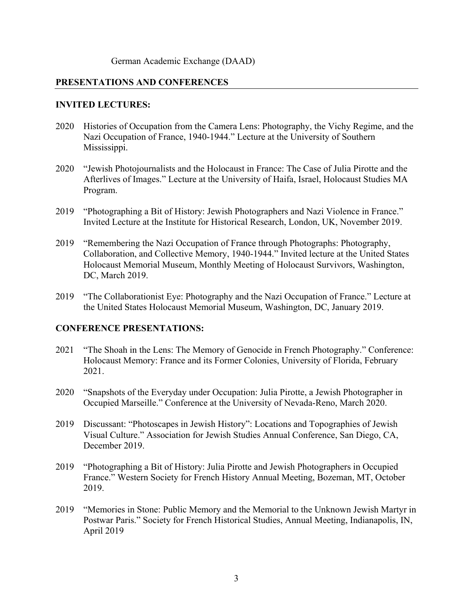## **PRESENTATIONS AND CONFERENCES**

## **INVITED LECTURES:**

- 2020 Histories of Occupation from the Camera Lens: Photography, the Vichy Regime, and the Nazi Occupation of France, 1940-1944." Lecture at the University of Southern Mississippi.
- 2020 "Jewish Photojournalists and the Holocaust in France: The Case of Julia Pirotte and the Afterlives of Images." Lecture at the University of Haifa, Israel, Holocaust Studies MA Program.
- 2019 "Photographing a Bit of History: Jewish Photographers and Nazi Violence in France." Invited Lecture at the Institute for Historical Research, London, UK, November 2019.
- 2019 "Remembering the Nazi Occupation of France through Photographs: Photography, Collaboration, and Collective Memory, 1940-1944." Invited lecture at the United States Holocaust Memorial Museum, Monthly Meeting of Holocaust Survivors, Washington, DC, March 2019.
- 2019 "The Collaborationist Eye: Photography and the Nazi Occupation of France." Lecture at the United States Holocaust Memorial Museum, Washington, DC, January 2019.

## **CONFERENCE PRESENTATIONS:**

- 2021 "The Shoah in the Lens: The Memory of Genocide in French Photography." Conference: Holocaust Memory: France and its Former Colonies, University of Florida, February 2021.
- 2020 "Snapshots of the Everyday under Occupation: Julia Pirotte, a Jewish Photographer in Occupied Marseille." Conference at the University of Nevada-Reno, March 2020.
- 2019 Discussant: "Photoscapes in Jewish History": Locations and Topographies of Jewish Visual Culture." Association for Jewish Studies Annual Conference, San Diego, CA, December 2019.
- 2019 "Photographing a Bit of History: Julia Pirotte and Jewish Photographers in Occupied France." Western Society for French History Annual Meeting, Bozeman, MT, October 2019.
- 2019 "Memories in Stone: Public Memory and the Memorial to the Unknown Jewish Martyr in Postwar Paris." Society for French Historical Studies, Annual Meeting, Indianapolis, IN, April 2019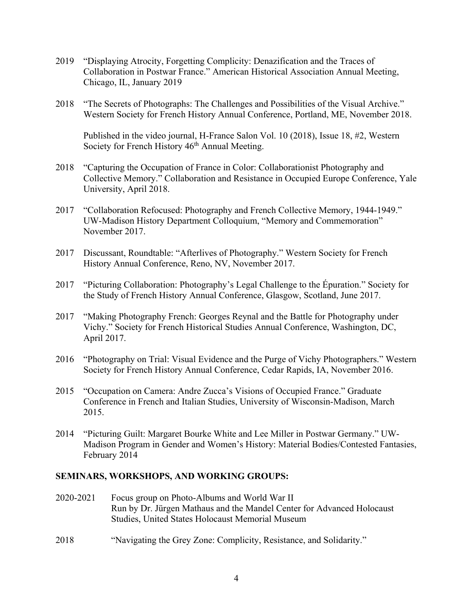- 2019 "Displaying Atrocity, Forgetting Complicity: Denazification and the Traces of Collaboration in Postwar France." American Historical Association Annual Meeting, Chicago, IL, January 2019
- 2018 "The Secrets of Photographs: The Challenges and Possibilities of the Visual Archive." Western Society for French History Annual Conference, Portland, ME, November 2018.

Published in the video journal, H-France Salon Vol. 10 (2018), Issue 18, #2, Western Society for French History  $46<sup>th</sup>$  Annual Meeting.

- 2018 "Capturing the Occupation of France in Color: Collaborationist Photography and Collective Memory." Collaboration and Resistance in Occupied Europe Conference, Yale University, April 2018.
- 2017 "Collaboration Refocused: Photography and French Collective Memory, 1944-1949." UW-Madison History Department Colloquium, "Memory and Commemoration" November 2017.
- 2017 Discussant, Roundtable: "Afterlives of Photography." Western Society for French History Annual Conference, Reno, NV, November 2017.
- 2017 "Picturing Collaboration: Photography's Legal Challenge to the Épuration." Society for the Study of French History Annual Conference, Glasgow, Scotland, June 2017.
- 2017 "Making Photography French: Georges Reynal and the Battle for Photography under Vichy." Society for French Historical Studies Annual Conference, Washington, DC, April 2017.
- 2016 "Photography on Trial: Visual Evidence and the Purge of Vichy Photographers." Western Society for French History Annual Conference, Cedar Rapids, IA, November 2016.
- 2015 "Occupation on Camera: Andre Zucca's Visions of Occupied France." Graduate Conference in French and Italian Studies, University of Wisconsin-Madison, March 2015.
- 2014 "Picturing Guilt: Margaret Bourke White and Lee Miller in Postwar Germany." UW-Madison Program in Gender and Women's History: Material Bodies/Contested Fantasies, February 2014

## **SEMINARS, WORKSHOPS, AND WORKING GROUPS:**

- 2020-2021 Focus group on Photo-Albums and World War II Run by Dr. Jürgen Mathaus and the Mandel Center for Advanced Holocaust Studies, United States Holocaust Memorial Museum
- 2018 "Navigating the Grey Zone: Complicity, Resistance, and Solidarity."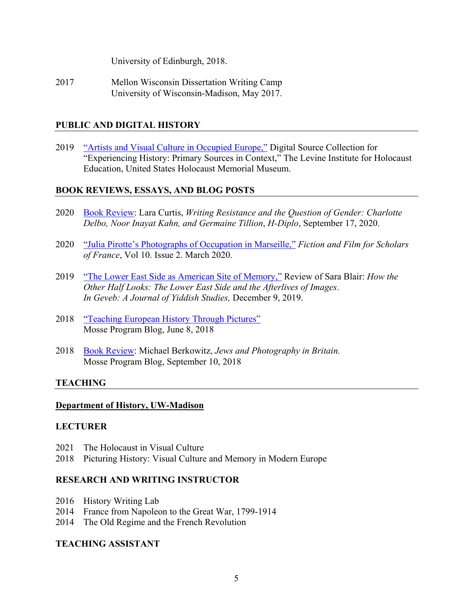University of Edinburgh, 2018.

2017 Mellon Wisconsin Dissertation Writing Camp University of Wisconsin-Madison, May 2017.

## **PUBLIC AND DIGITAL HISTORY**

2019 "Artists and Visual Culture in Occupied Europe," Digital Source Collection for "Experiencing History: Primary Sources in Context," The Levine Institute for Holocaust Education, United States Holocaust Memorial Museum.

## **BOOK REVIEWS, ESSAYS, AND BLOG POSTS**

- 2020 Book Review: Lara Curtis, *Writing Resistance and the Question of Gender: Charlotte Delbo, Noor Inayat Kahn, and Germaine Tillion*, *H-Diplo*, September 17, 2020.
- 2020 "Julia Pirotte's Photographs of Occupation in Marseille," *Fiction and Film for Scholars of France*, Vol 10. Issue 2. March 2020.
- 2019 "The Lower East Side as American Site of Memory," Review of Sara Blair: *How the Other Half Looks: The Lower East Side and the Afterlives of Images*. *In Geveb: A Journal of Yiddish Studies,* December 9, 2019.
- 2018 "Teaching European History Through Pictures" Mosse Program Blog, June 8, 2018
- 2018 Book Review: Michael Berkowitz, *Jews and Photography in Britain.* Mosse Program Blog, September 10, 2018

## **TEACHING**

#### **Department of History, UW-Madison**

## **LECTURER**

- 2021 The Holocaust in Visual Culture
- 2018 Picturing History: Visual Culture and Memory in Modern Europe

## **RESEARCH AND WRITING INSTRUCTOR**

- 2016 History Writing Lab
- 2014 France from Napoleon to the Great War, 1799-1914
- 2014 The Old Regime and the French Revolution

## **TEACHING ASSISTANT**